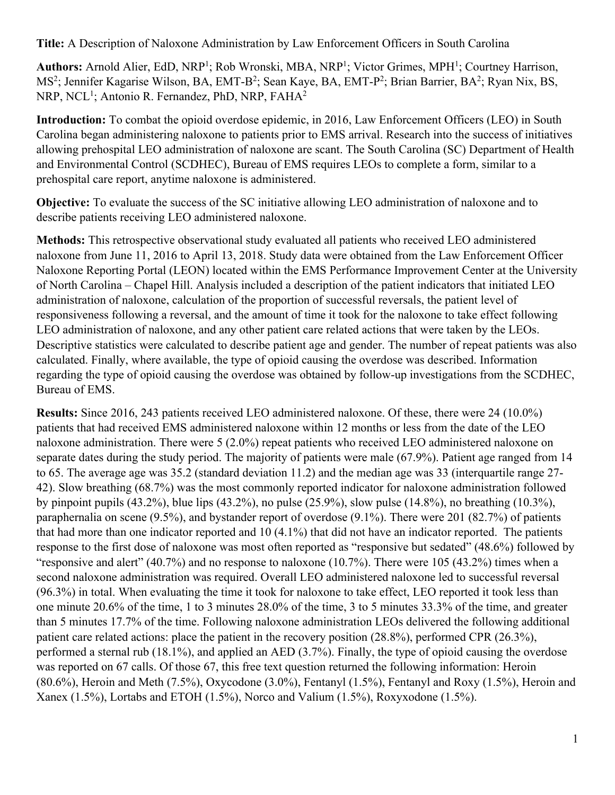**Title:** A Description of Naloxone Administration by Law Enforcement Officers in South Carolina

Authors: Arnold Alier, EdD, NRP<sup>1</sup>; Rob Wronski, MBA, NRP<sup>1</sup>; Victor Grimes, MPH<sup>1</sup>; Courtney Harrison, MS<sup>2</sup>; Jennifer Kagarise Wilson, BA, EMT-B<sup>2</sup>; Sean Kaye, BA, EMT-P<sup>2</sup>; Brian Barrier, BA<sup>2</sup>; Ryan Nix, BS, NRP, NCL<sup>1</sup>; Antonio R. Fernandez, PhD, NRP, FAHA<sup>2</sup>

**Introduction:** To combat the opioid overdose epidemic, in 2016, Law Enforcement Officers (LEO) in South Carolina began administering naloxone to patients prior to EMS arrival. Research into the success of initiatives allowing prehospital LEO administration of naloxone are scant. The South Carolina (SC) Department of Health and Environmental Control (SCDHEC), Bureau of EMS requires LEOs to complete a form, similar to a prehospital care report, anytime naloxone is administered.

**Objective:** To evaluate the success of the SC initiative allowing LEO administration of naloxone and to describe patients receiving LEO administered naloxone.

**Methods:** This retrospective observational study evaluated all patients who received LEO administered naloxone from June 11, 2016 to April 13, 2018. Study data were obtained from the Law Enforcement Officer Naloxone Reporting Portal (LEON) located within the EMS Performance Improvement Center at the University of North Carolina – Chapel Hill. Analysis included a description of the patient indicators that initiated LEO administration of naloxone, calculation of the proportion of successful reversals, the patient level of responsiveness following a reversal, and the amount of time it took for the naloxone to take effect following LEO administration of naloxone, and any other patient care related actions that were taken by the LEOs. Descriptive statistics were calculated to describe patient age and gender. The number of repeat patients was also calculated. Finally, where available, the type of opioid causing the overdose was described. Information regarding the type of opioid causing the overdose was obtained by follow-up investigations from the SCDHEC, Bureau of EMS.

**Results:** Since 2016, 243 patients received LEO administered naloxone. Of these, there were 24 (10.0%) patients that had received EMS administered naloxone within 12 months or less from the date of the LEO naloxone administration. There were 5 (2.0%) repeat patients who received LEO administered naloxone on separate dates during the study period. The majority of patients were male (67.9%). Patient age ranged from 14 to 65. The average age was 35.2 (standard deviation 11.2) and the median age was 33 (interquartile range 27- 42). Slow breathing (68.7%) was the most commonly reported indicator for naloxone administration followed by pinpoint pupils (43.2%), blue lips (43.2%), no pulse (25.9%), slow pulse (14.8%), no breathing (10.3%), paraphernalia on scene (9.5%), and bystander report of overdose (9.1%). There were 201 (82.7%) of patients that had more than one indicator reported and 10 (4.1%) that did not have an indicator reported. The patients response to the first dose of naloxone was most often reported as "responsive but sedated" (48.6%) followed by "responsive and alert" (40.7%) and no response to naloxone (10.7%). There were 105 (43.2%) times when a second naloxone administration was required. Overall LEO administered naloxone led to successful reversal (96.3%) in total. When evaluating the time it took for naloxone to take effect, LEO reported it took less than one minute 20.6% of the time, 1 to 3 minutes 28.0% of the time, 3 to 5 minutes 33.3% of the time, and greater than 5 minutes 17.7% of the time. Following naloxone administration LEOs delivered the following additional patient care related actions: place the patient in the recovery position (28.8%), performed CPR (26.3%), performed a sternal rub (18.1%), and applied an AED (3.7%). Finally, the type of opioid causing the overdose was reported on 67 calls. Of those 67, this free text question returned the following information: Heroin (80.6%), Heroin and Meth (7.5%), Oxycodone (3.0%), Fentanyl (1.5%), Fentanyl and Roxy (1.5%), Heroin and Xanex (1.5%), Lortabs and ETOH (1.5%), Norco and Valium (1.5%), Roxyxodone (1.5%).